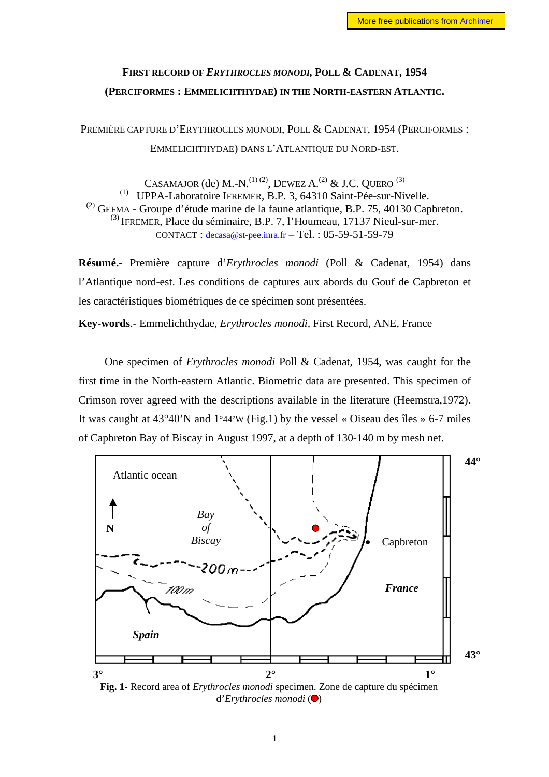## **FIRST RECORD OF** *ERYTHROCLES MONODI,* **POLL & CADENAT, 1954 (PERCIFORMES : EMMELICHTHYDAE) IN THE NORTH-EASTERN ATLANTIC.**

PREMIÈRE CAPTURE D'ERYTHROCLES MONODI, POLL & CADENAT, 1954 (PERCIFORMES : EMMELICHTHYDAE) DANS L'ATLANTIQUE DU NORD-EST.

CASAMAJOR (de) M.-N.<sup>(1)(2)</sup>, DEWEZ A.<sup>(2)</sup> & J.C. OUERO<sup>(3)</sup> (1) UPPA-Laboratoire IFREMER, B.P. 3, 64310 Saint-Pée-sur-Nivelle. (2) GEFMA - Groupe d'étude marine de la faune atlantique, B.P. 75, 40130 Capbreton.  $^{(3)}$  IFREMER, Place du séminaire, B.P. 7, l'Houmeau, 17137 Nieul-sur-mer. CONTACT : [decasa@st-pee.inra.fr](mailto:decasa@st-pee.inra.fr) – Tel. : 05-59-51-59-79

**Résumé.-** Première capture d'*Erythrocles monodi* (Poll & Cadenat, 1954) dans l'Atlantique nord-est. Les conditions de captures aux abords du Gouf de Capbreton et les caractéristiques biométriques de ce spécimen sont présentées.

**Key-words**.- Emmelichthydae, *Erythrocles monodi,* First Record, ANE, France

One specimen of *Erythrocles monodi* Poll & Cadenat, 1954, was caught for the first time in the North-eastern Atlantic. Biometric data are presented. This specimen of Crimson rover agreed with the descriptions available in the literature (Heemstra,1972). It was caught at  $43^{\circ}40^{\prime}$ N and  $1^{\circ}44^{\prime}$ W (Fig.1) by the vessel « Oiseau des îles » 6-7 miles of Capbreton Bay of Biscay in August 1997, at a depth of 130-140 m by mesh net.



**Fig. 1-** Record area of *Erythrocles monodi* specimen. Zone de capture du spécimen d'*Erythrocles monodi* ( $\bigcirc$ )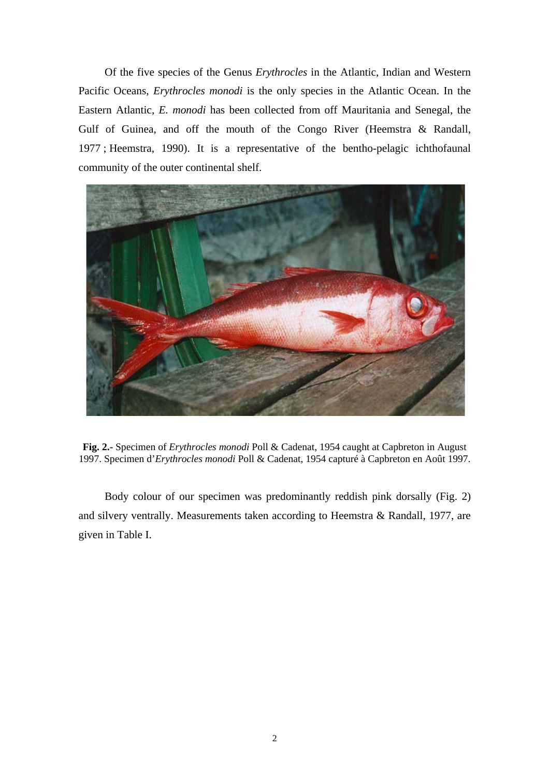Of the five species of the Genus *Erythrocles* in the Atlantic, Indian and Western Pacific Oceans, *Erythrocles monodi* is the only species in the Atlantic Ocean. In the Eastern Atlantic, *E. monodi* has been collected from off Mauritania and Senegal, the Gulf of Guinea, and off the mouth of the Congo River (Heemstra & Randall, 1977 ; Heemstra, 1990). It is a representative of the bentho-pelagic ichthofaunal community of the outer continental shelf.



**Fig. 2.-** Specimen of *Erythrocles monodi* Poll & Cadenat, 1954 caught at Capbreton in August 1997. Specimen d'*Erythrocles monodi* Poll & Cadenat, 1954 capturé à Capbreton en Août 1997.

Body colour of our specimen was predominantly reddish pink dorsally (Fig. 2) and silvery ventrally. Measurements taken according to Heemstra & Randall, 1977, are given in Table I.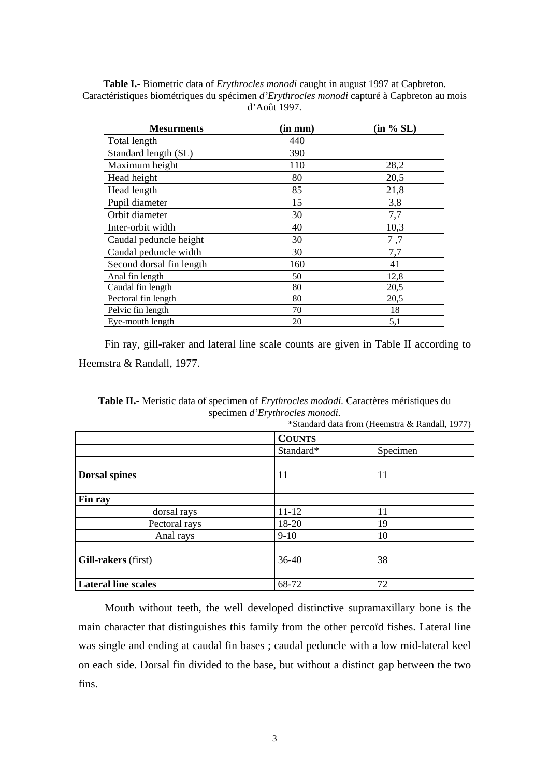| <b>Mesurments</b>        | $(in \; mm)$ | (in % SL) |
|--------------------------|--------------|-----------|
| Total length             | 440          |           |
| Standard length (SL)     | 390          |           |
| Maximum height           | 110          | 28,2      |
| Head height              | 80           | 20,5      |
| Head length              | 85           | 21,8      |
| Pupil diameter           | 15           | 3,8       |
| Orbit diameter           | 30           | 7,7       |
| Inter-orbit width        | 40           | 10,3      |
| Caudal peduncle height   | 30           | 7,7       |
| Caudal peduncle width    | 30           | 7,7       |
| Second dorsal fin length | 160          | 41        |
| Anal fin length          | 50           | 12,8      |
| Caudal fin length        | 80           | 20,5      |
| Pectoral fin length      | 80           | 20,5      |
| Pelvic fin length        | 70           | 18        |
| Eye-mouth length         | 20           | 5,1       |

**Table I.-** Biometric data of *Erythrocles monodi* caught in august 1997 at Capbreton. Caractéristiques biométriques du spécimen *d'Erythrocles monodi* capturé à Capbreton au mois d'Août 1997.

Fin ray, gill-raker and lateral line scale counts are given in Table II according to Heemstra & Randall, 1977.

**Table II.-** Meristic data of specimen of *Erythrocles mododi.* Caractères méristiques du specimen *d'Erythrocles monodi.*

|                            |               | $\sim$ Standard data 110m (Freemstra $\alpha$ Kandan, 1977) |  |
|----------------------------|---------------|-------------------------------------------------------------|--|
|                            | <b>COUNTS</b> |                                                             |  |
|                            | Standard*     | Specimen                                                    |  |
|                            |               |                                                             |  |
| <b>Dorsal spines</b>       | 11            | 11                                                          |  |
|                            |               |                                                             |  |
| Fin ray                    |               |                                                             |  |
| dorsal rays                | $11 - 12$     | 11                                                          |  |
| Pectoral rays              | 18-20         | 19                                                          |  |
| Anal rays                  | $9-10$        | 10                                                          |  |
|                            |               |                                                             |  |
| Gill-rakers (first)        | $36 - 40$     | 38                                                          |  |
|                            |               |                                                             |  |
| <b>Lateral line scales</b> | 68-72         | 72                                                          |  |

\*Standard data from (Heemstra & Randall, 1977)

Mouth without teeth, the well developed distinctive supramaxillary bone is the main character that distinguishes this family from the other percoïd fishes. Lateral line was single and ending at caudal fin bases ; caudal peduncle with a low mid-lateral keel on each side. Dorsal fin divided to the base, but without a distinct gap between the two fins.